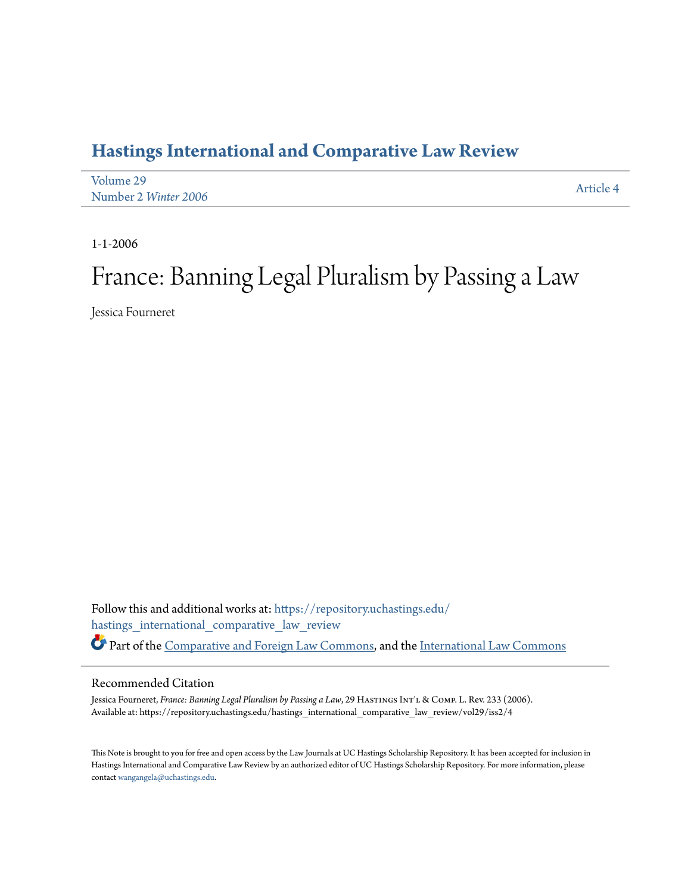# **[Hastings International and Comparative Law Review](https://repository.uchastings.edu/hastings_international_comparative_law_review?utm_source=repository.uchastings.edu%2Fhastings_international_comparative_law_review%2Fvol29%2Fiss2%2F4&utm_medium=PDF&utm_campaign=PDFCoverPages)**

| Volume 29            | Article 4 |
|----------------------|-----------|
| Number 2 Winter 2006 |           |

1-1-2006

# France: Banning Legal Pluralism by Passing a Law

Jessica Fourneret

Follow this and additional works at: [https://repository.uchastings.edu/](https://repository.uchastings.edu/hastings_international_comparative_law_review?utm_source=repository.uchastings.edu%2Fhastings_international_comparative_law_review%2Fvol29%2Fiss2%2F4&utm_medium=PDF&utm_campaign=PDFCoverPages) [hastings\\_international\\_comparative\\_law\\_review](https://repository.uchastings.edu/hastings_international_comparative_law_review?utm_source=repository.uchastings.edu%2Fhastings_international_comparative_law_review%2Fvol29%2Fiss2%2F4&utm_medium=PDF&utm_campaign=PDFCoverPages) Part of the [Comparative and Foreign Law Commons](http://network.bepress.com/hgg/discipline/836?utm_source=repository.uchastings.edu%2Fhastings_international_comparative_law_review%2Fvol29%2Fiss2%2F4&utm_medium=PDF&utm_campaign=PDFCoverPages), and the [International Law Commons](http://network.bepress.com/hgg/discipline/609?utm_source=repository.uchastings.edu%2Fhastings_international_comparative_law_review%2Fvol29%2Fiss2%2F4&utm_medium=PDF&utm_campaign=PDFCoverPages)

#### Recommended Citation

Jessica Fourneret, *France: Banning Legal Pluralism by Passing a Law*, 29 HASTINGS INT'L & COMP. L. Rev. 233 (2006). Available at: https://repository.uchastings.edu/hastings\_international\_comparative\_law\_review/vol29/iss2/4

This Note is brought to you for free and open access by the Law Journals at UC Hastings Scholarship Repository. It has been accepted for inclusion in Hastings International and Comparative Law Review by an authorized editor of UC Hastings Scholarship Repository. For more information, please contact [wangangela@uchastings.edu](mailto:wangangela@uchastings.edu).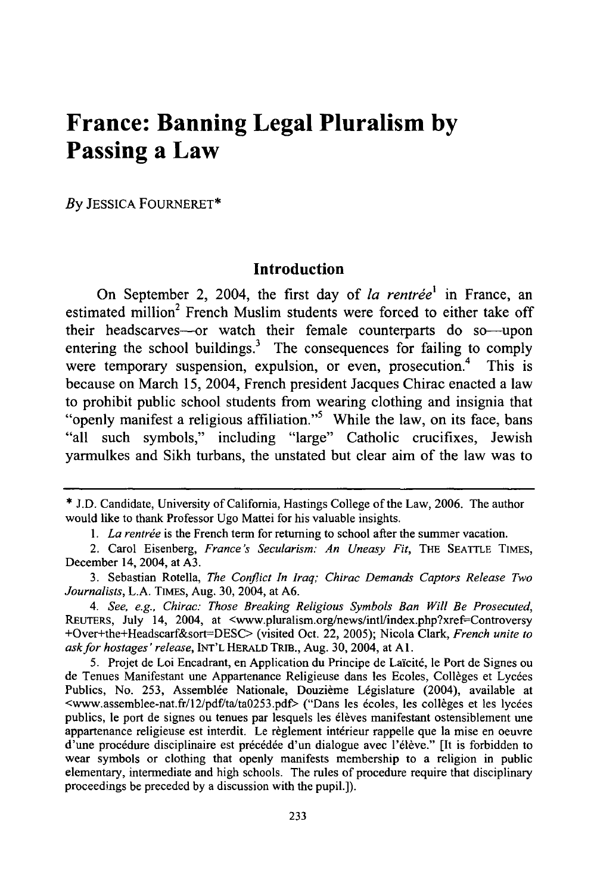# **France: Banning Legal Pluralism by Passing a Law**

*By* JESSICA FOURNERET\*

# **Introduction**

On September 2, 2004, the first day of *la rentrée*<sup>1</sup> in France, an estimated million<sup>2</sup> French Muslim students were forced to either take off their headscarves-or watch their female counterparts do so-upon entering the school buildings. $3$  The consequences for failing to comply were temporary suspension, expulsion, or even, prosecution.<sup>4</sup> This is because on March 15, 2004, French president Jacques Chirac enacted a law to prohibit public school students from wearing clothing and insignia that "openly manifest a religious affiliation."<sup>5</sup> While the law, on its face, bans "all such symbols," including "large" Catholic crucifixes, Jewish yarmulkes and Sikh turbans, the unstated but clear aim of the law was to

<sup>\*</sup> **J.D.** Candidate, University of California, Hastings College of the Law, 2006. The author would like to thank Professor Ugo Mattei for his valuable insights.

<sup>1.</sup> La rentrée is the French term for returning to school after the summer vacation.

<sup>2.</sup> Carol Eisenberg, *France's Secularism: An Uneasy Fit,* THE SEATTLE TIMES, December 14, 2004, at A3.

<sup>3.</sup> Sebastian Rotella, *The Conflict In Iraq; Chirac Demands Captors Release Two Journalists,* L.A. TIMES, Aug. 30, 2004, at A6.

*<sup>4.</sup> See, e.g., Chirac: Those Breaking Religious Symbols Ban Will Be Prosecuted,* REUTERS, July 14, 2004, at <www.pluralism.org/news/intl/index.php?xref=Controversy +Over+the+Headscarf&sort=-DESC> (visited Oct. 22, 2005); Nicola Clark, *French unite to ask for hostages' release,* INT'L HERALD TRIB., Aug. 30, 2004, at **Al.**

<sup>5.</sup> Projet de Loi Encadrant, en Application du Principe de Laïcité, le Port de Signes ou de Tenues Manifestant une Appartenance Religieuse dans les Ecoles, Collèges et Lycées Publics, No. 253, Assemblée Nationale, Douzième Législature (2004), available at <www.assemblee-nat.fr/12/pdf/ta/ta0253.pdf> ("Dans les écoles, les collèges et les lycées publics, le port de signes ou tenues par lesquels les élèves manifestant ostensiblement une appartenance religieuse est interdit. Le règlement intérieur rappelle que la mise en oeuvre d'une procédure disciplinaire est précédée d'un dialogue avec l'élève." [It is forbidden to wear symbols or clothing that openly manifests membership to a religion in public elementary, intermediate and high schools. The rules of procedure require that disciplinary proceedings be preceded by a discussion with the pupil.]).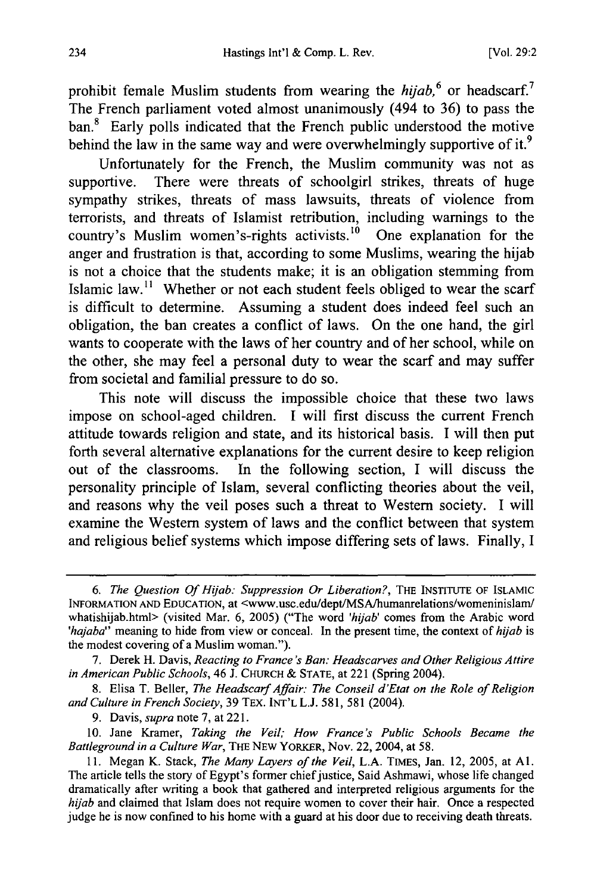prohibit female Muslim students from wearing the *hijab*,<sup>6</sup> or headscarf.<sup>7</sup> The French parliament voted almost unanimously (494 to 36) to pass the ban.<sup>8</sup> Early polls indicated that the French public understood the motive behind the law in the same way and were overwhelmingly supportive of it.<sup>9</sup>

Unfortunately for the French, the Muslim community was not as supportive. There were threats of schoolgirl strikes, threats of huge sympathy strikes, threats of mass lawsuits, threats of violence from terrorists, and threats of Islamist retribution, including warnings to the country's Muslim women's-rights activists.<sup>10</sup> One explanation for the anger and frustration is that, according to some Muslims, wearing the hijab is not a choice that the students make; it is an obligation stemming from Islamic law.<sup>11</sup> Whether or not each student feels obliged to wear the scarf is difficult to determine. Assuming a student does indeed feel such an obligation, the ban creates a conflict of laws. On the one hand, the girl wants to cooperate with the laws of her country and of her school, while on the other, she may feel a personal duty to wear the scarf and may suffer from societal and familial pressure to do so.

This note will discuss the impossible choice that these two laws impose on school-aged children. I will first discuss the current French attitude towards religion and state, and its historical basis. I will then put forth several alternative explanations for the current desire to keep religion out of the classrooms. In the following section, I will discuss the personality principle of Islam, several conflicting theories about the veil, and reasons why the veil poses such a threat to Western society. I will examine the Western system of laws and the conflict between that system and religious belief systems which impose differing sets of laws. Finally, I

9. Davis, *supra* note 7, at 221.

10. Jane Kramer, *Taking the Veil; How France's Public Schools Became the Battleground in a Culture War,* THE NEW YORKER, Nov. 22, 2004, at 58.

*<sup>6.</sup> The Question Of Hijab: Suppression Or Liberation?,* THE INSTITUTE OF **ISLAMIC** INFORMATION **AND** EDUCATION, at <www.usc.edu/dept/MSA/humanrelations/womeninislam/ whatishijab.html> (visited Mar. 6, 2005) ("The word *'hjab'* comes from the Arabic word 'hajaba'' meaning to hide from view or conceal. In the present time, the context of hijab is the modest covering of a Muslim woman.").

<sup>7.</sup> Derek H. Davis, *Reacting to France's Ban: Headscarves and Other Religious Attire in American Public Schools,* 46 J. **CHURCH** & **STATE,** at 221 (Spring 2004).

<sup>8.</sup> Elisa T. Belier, *The Headscarf Affair: The Conseil d'Etat on the Role of Religion and Culture in French Society,* 39 TEX. INT'L L.J. 581, 581 (2004).

<sup>11.</sup> Megan K. Stack, *The Many Layers of the Veil,* L.A. TIMES, Jan. 12, 2005, at **Al.** The article tells the story of Egypt's former chief justice, Said Ashmawi, whose life changed dramatically after writing a book that gathered and interpreted religious arguments for the *hiab* and claimed that Islam does not require women to cover their hair. Once a respected judge he is now confined to his home with a guard at his door due to receiving death threats.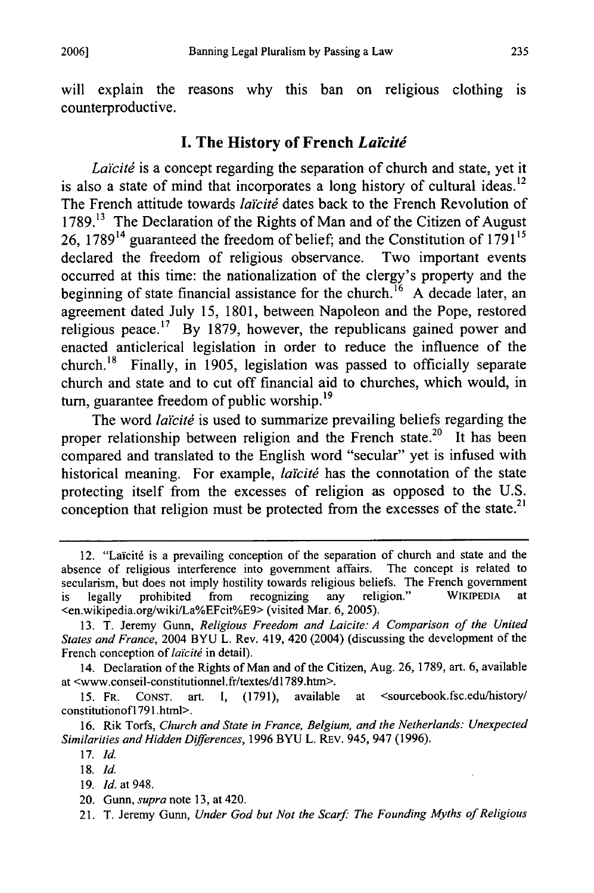will explain the reasons why this ban on religious clothing is counterproductive.

## **I.** The History of French *Larcitd*

Laïcité is a concept regarding the separation of church and state, yet it is also a state of mind that incorporates a long history of cultural ideas.<sup>12</sup> The French attitude towards *laïcité* dates back to the French Revolution of **1789.13** The Declaration of the Rights of Man and of the Citizen of August 26, 178914 guaranteed the freedom of belief; and the Constitution of 179 *<sup>115</sup>* declared the freedom of religious observance. Two important events occurred at this time: the nationalization of the clergy's property and the beginning of state financial assistance for the church.<sup>16</sup> A decade later, an agreement dated July 15, 1801, between Napoleon and the Pope, restored religious peace.<sup>17</sup> By 1879, however, the republicans gained power and enacted anticlerical legislation in order to reduce the influence of the church. 18 Finally, in 1905, legislation was passed to officially separate church and state and to cut off financial aid to churches, which would, in turn, guarantee freedom of public worship. $^{19}$ 

The word *laïcité* is used to summarize prevailing beliefs regarding the proper relationship between religion and the French state.<sup>20</sup> It has been compared and translated to the English word "secular" yet is infused with historical meaning. For example, *laïcité* has the connotation of the state protecting itself from the excesses of religion as opposed to the U.S. conception that religion must be protected from the excesses of the state.<sup>21</sup>

14. Declaration of the Rights of Man and of the Citizen, Aug. 26, 1789, art. 6, available at <www.conseil-constitutionnel.fr/textes/d 1789.htm>.

15. FR. CONST. art. I, (1791), available at <sourcebook.fsc.edu/history/ constitutionof1 791 .html>.

16. Rik Torfs, *Church and State in France, Belgium, and the Netherlands: Unexpected Similarities and Hidden Differences,* 1996 BYU L. REv. 945, 947 (1996).

- 19. *Id.* at 948.
- 20. Gunn, *supra* note 13, at 420.

<sup>12. &</sup>quot;Laïcité is a prevailing conception of the separation of church and state and the absence of religious interference into government affairs. The concept is related to secularism, but does not imply hostility towards religious beliefs. The French government is legally prohibited from recognizing any religion." WIKIPEDIA <en.wikipedia.org/wiki/La%EFcit%E9> (visited Mar. 6, 2005).

<sup>13.</sup> T. Jeremy Gunn, *Religious Freedom and Laicite: A Comparison of the United States and France,* 2004 BYU L. Rev. 419, 420 (2004) (discussing the development of the French conception of *laïcité* in detail).

<sup>17.</sup> *Id.*

<sup>18.</sup> *Id.*

<sup>21.</sup> T. Jeremy Gunn, *Under God but Not the Scarf: The Founding Myths of Religious*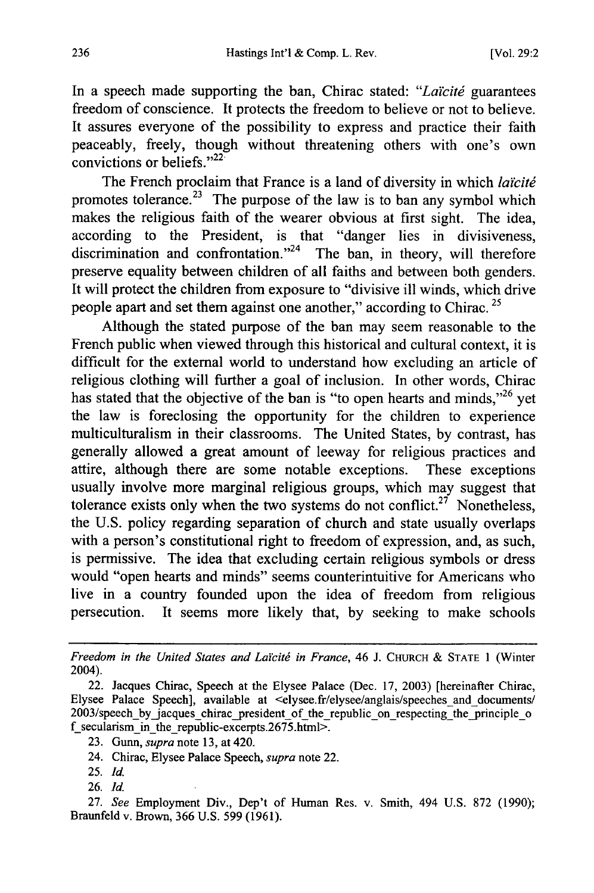In a speech made supporting the ban, Chirac stated: "Laïcité guarantees" freedom of conscience. It protects the freedom to believe or not to believe. It assures everyone of the possibility to express and practice their faith peaceably, freely, though without threatening others with one's own convictions or beliefs." $2^{2}$ 

The French proclaim that France is a land of diversity in which *laïcité* promotes tolerance.<sup>23</sup> The purpose of the law is to ban any symbol which makes the religious faith of the wearer obvious at first sight. The idea, according to the President, is that "danger lies in divisiveness, discrimination and confrontation. $124$  The ban, in theory, will therefore preserve equality between children of all faiths and between both genders. It will protect the children from exposure to "divisive ill winds, which drive people apart and set them against one another," according to Chirac.<sup>25</sup>

Although the stated purpose of the ban may seem reasonable to the French public when viewed through this historical and cultural context, it is difficult for the external world to understand how excluding an article of religious clothing will further a goal of inclusion. In other words, Chirac has stated that the objective of the ban is "to open hearts and minds,"<sup>26</sup> yet the law is foreclosing the opportunity for the children to experience multiculturalism in their classrooms. The United States, by contrast, has generally allowed a great amount of leeway for religious practices and attire, although there are some notable exceptions. These exceptions usually involve more marginal religious groups, which may suggest that tolerance exists only when the two systems do not conflict.<sup>27</sup> Nonetheless, the U.S. policy regarding separation of church and state usually overlaps with a person's constitutional right to freedom of expression, and, as such, is permissive. The idea that excluding certain religious symbols or dress would "open hearts and minds" seems counterintuitive for Americans who live in a country founded upon the idea of freedom from religious persecution. It seems more likely that, by seeking to make schools

*Freedom in the United States and Laicitg in France,* 46 J. CHURCH & STATE 1 (Winter 2004).

- 24. Chirac, Elysee Palace Speech, *supra* note 22.
- 25. *Id.*
- 26. *Id.*

27. *See* Employment Div., Dep't of Human Res. v. Smith, 494 U.S. 872 (1990); Braunfeld v. Brown, 366 U.S. 599 (1961).

<sup>22.</sup> Jacques Chirac, Speech at the Elysee Palace (Dec. 17, 2003) [hereinafter Chirac, Elysee Palace Speech], available at <elysee.fr/elysee/anglais/speeches and documents/ 2003/speech by jacques chirac president of the republic on respecting the principle o  $f$ \_secularism\_in\_the\_republic-excerpts.2675.html>.

<sup>23.</sup> Gunn, *supra* note 13, at 420.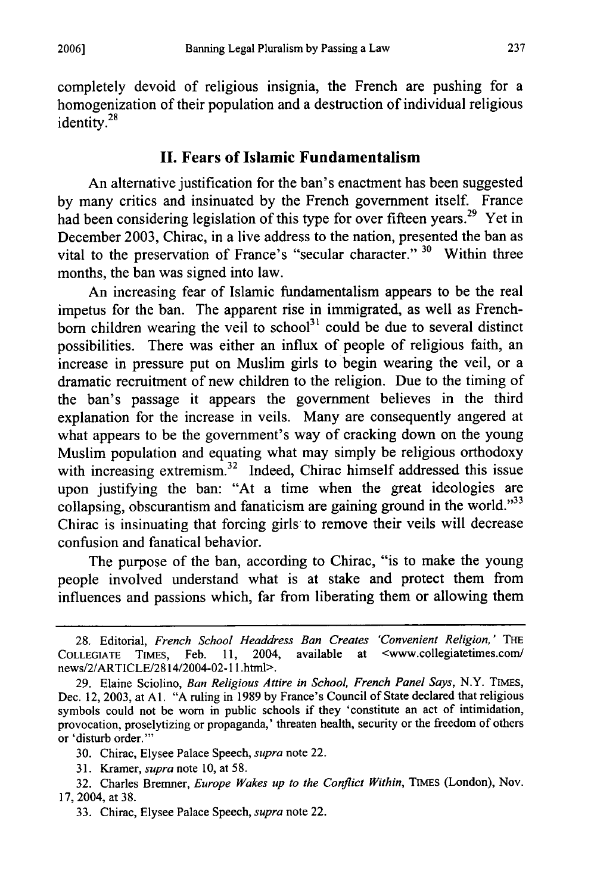completely devoid of religious insignia, the French are pushing for a homogenization of their population and a destruction of individual religious identity.<sup>28</sup>

# **II. Fears of Islamic Fundamentalism**

An alternative justification for the ban's enactment has been suggested by many critics and insinuated by the French government itself. France had been considering legislation of this type for over fifteen years.<sup>29</sup> Yet in December 2003, Chirac, in a live address to the nation, presented the ban as vital to the preservation of France's "secular character." <sup>30</sup> Within three months, the ban was signed into law.

An increasing fear of Islamic fundamentalism appears to be the real impetus for the ban. The apparent rise in immigrated, as well as Frenchborn children wearing the veil to school<sup>31</sup> could be due to several distinct possibilities. There was either an influx of people of religious faith, an increase in pressure put on Muslim girls to begin wearing the veil, or a dramatic recruitment of new children to the religion. Due to the timing of the ban's passage it appears the government believes in the third explanation for the increase in veils. Many are consequently angered at what appears to be the government's way of cracking down on the young Muslim population and equating what may simply be religious orthodoxy with increasing extremism.<sup>32</sup> Indeed, Chirac himself addressed this issue upon justifying the ban: "At a time when the great ideologies are collapsing, obscurantism and fanaticism are gaining ground in the world.<sup>333</sup> Chirac is insinuating that forcing girls to remove their veils will decrease confusion and fanatical behavior.

The purpose of the ban, according to Chirac, "is to make the young people involved understand what is at stake and protect them from influences and passions which, far from liberating them or allowing them

<sup>28.</sup> Editorial, *French School Headdress Ban Creates 'Convenient Religion,' THE* COLLEGIATE TIMEs, Feb. **11,** 2004, available at <www.collegiatetimes.com/ news/2/ARTICLE/2814/2004-02-11 .html>.

<sup>29.</sup> Elaine Sciolino, *Ban Religious Attire in School, French Panel Says,* N.Y. TIMES, Dec. 12, 2003, at **Al.** "A ruling in 1989 by France's Council of State declared that religious symbols could not be worn in public schools if they 'constitute an act of intimidation, provocation, proselytizing or propaganda,' threaten health, security or the freedom of others or 'disturb order."'

<sup>30.</sup> Chirac, Elysee Palace Speech, *supra* note 22.

<sup>31.</sup> Kramer, *supra* note 10, at 58.

<sup>32.</sup> Charles Brenmer, *Europe Wakes up to the Conflict Within,* TIMES (London), Nov. 17, 2004, at 38.

<sup>33.</sup> Chirac, Elysee Palace Speech, *supra* note 22.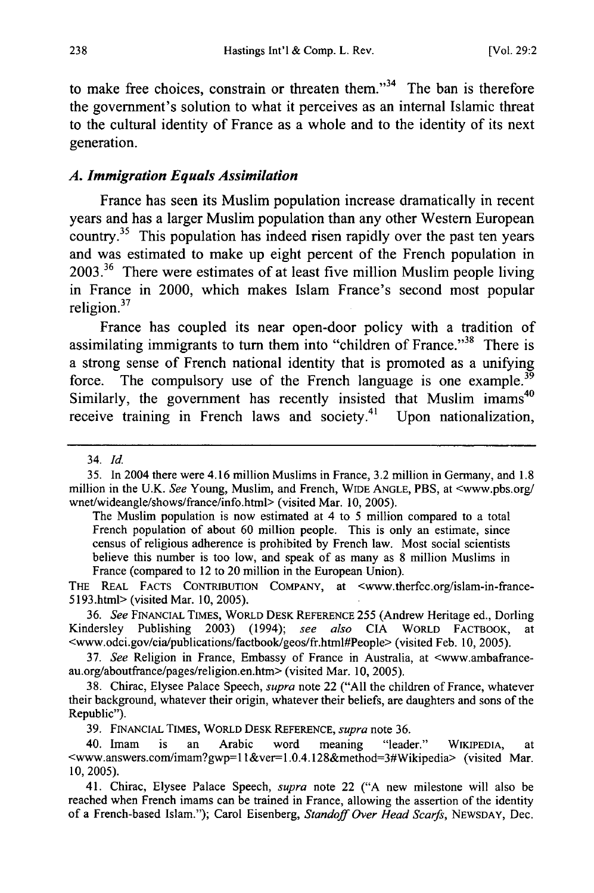to make free choices, constrain or threaten them. $134$  The ban is therefore the government's solution to what it perceives as an internal Islamic threat to the cultural identity of France as a whole and to the identity of its next generation.

# *A. Immigration Equals Assimilation*

France has seen its Muslim population increase dramatically in recent years and has a larger Muslim population than any other Western European country.<sup>35</sup> This population has indeed risen rapidly over the past ten years and was estimated to make up eight percent of the French population in  $2003<sup>36</sup>$  There were estimates of at least five million Muslim people living in France in 2000, which makes Islam France's second most popular religion.<sup>37</sup>

France has coupled its near open-door policy with a tradition of assimilating immigrants to turn them into "children of France."<sup>38</sup> There is a strong sense of French national identity that is promoted as a unifying force. The compulsory use of the French language is one example.<sup>39</sup> Similarly, the government has recently insisted that Muslim imams<sup>40</sup> receive training in French laws and society.<sup>41</sup> Upon nationalization,

35. In 2004 there were 4.16 million Muslims in France, 3.2 million in Germany, and 1.8 million in the U.K. *See* Young, Muslim, and French, WIDE **ANGLE,** PBS, at <www.pbs.org/ wnet/wideangle/shows/france/info.html> (visited Mar. **10,** 2005).

The Muslim population is now estimated at 4 to 5 million compared to a total French population of about 60 million people. This is only an estimate, since census of religious adherence is prohibited by French law. Most social scientists believe this number is too low, and speak of as many as 8 million Muslims in France (compared to 12 to 20 million in the European Union).

THE REAL **FACTS** CONTRIBUTION COMPANY, at <www.therfcc.org/islam-in-france-5193.html> (visited Mar. 10, 2005).

36. *See* **FINANCIAL TIMES,** WORLD **DESK** REFERENCE 255 (Andrew Heritage ed., Dorling Kindersley Publishing 2003) (1994); *see also* CIA WORLD FACTBOOK, at <www.odci.gov/cia/publications/factbook/geos/fr.html#People> (visited Feb. 10, 2005).

37. *See* Religion in France, Embassy of France in Australia, at <www.ambafranceau.org/aboutfrance/pages/religion.en.htm> (visited Mar. 10, 2005).

38. Chirac, Elysee Palace Speech, *supra* note 22 ("All the children of France, whatever their background, whatever their origin, whatever their beliefs, are daughters and sons of the Republic").

39. FINANCIAL TIMES, WORLD **DESK** REFERENCE, *supra* note 36.

40. Imam is an Arabic word meaning "leader." WIKIPEDIA, at <www.answers.com/imam?gwp=l l&ver=l.0.4.128&method=3#Wikipedia> (visited Mar. 10, 2005).

41. Chirac, Elysee Palace Speech, *supra* note 22 ("A new milestone will also be reached when French imams can be trained in France, allowing the assertion of the identity of a French-based Islam."); Carol Eisenberg, *Standoff Over Head Scarfs,* **NEWSDAY,** Dec.

<sup>34.</sup> *Id.*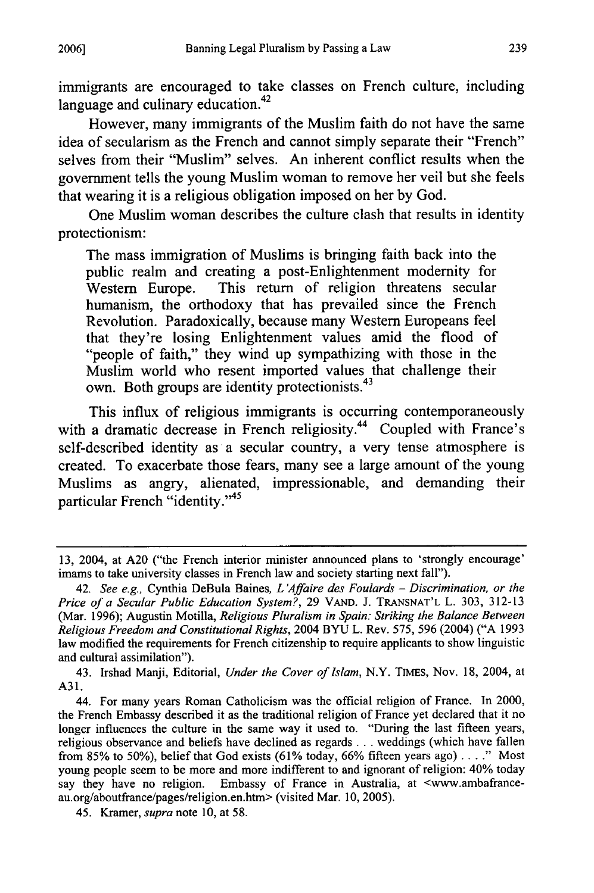immigrants are encouraged to take classes on French culture, including language and culinary education. $42$ 

However, many immigrants of the Muslim faith do not have the same idea of secularism as the French and cannot simply separate their "French" selves from their "Muslim" selves. An inherent conflict results when the government tells the young Muslim woman to remove her veil but she feels that wearing it is a religious obligation imposed on her **by** God.

One Muslim woman describes the culture clash that results in identity protectionism:

The mass immigration of Muslims is bringing faith back into the public realm and creating a post-Enlightenment modernity for Western Europe. This return of religion threatens secular humanism, the orthodoxy that has prevailed since the French Revolution. Paradoxically, because many Western Europeans feel that they're losing Enlightenment values amid the flood of "people of faith," they wind up sympathizing with those in the Muslim world who resent imported values that challenge their own. Both groups are identity protectionists.<sup>43</sup>

This influx of religious immigrants is occurring contemporaneously with a dramatic decrease in French religiosity.<sup>44</sup> Coupled with France's self-described identity as a secular country, a very tense atmosphere is created. To exacerbate those fears, many see a large amount of the young Muslims as angry, alienated, impressionable, and demanding their particular French **"identity.'45**

43. Irshad Manji, Editorial, *Under the Cover of Islam,* N.Y. TiMEs, Nov. **18,** 2004, at **A3 1.**

**<sup>13,</sup>** 2004, at **A20** ("the French interior minister announced plans to 'strongly encourage' imams to take university classes in French law and society starting next fall").

<sup>42.</sup> *See e.g.,* Cynthia DeBula Baines, *L 'Affaire des Foulards* **-** *Discrimination, or the Price of a Secular Public Education System?,* **29 VAND. J. TRANSNAT'L** L. **303, 312-13** (Mar. **1996);** Augustin Motilla, *Religious Pluralism in Spain: Striking the Balance Between Religious Freedom and Constitutional Rights,* 2004 BYU L. Rev. **575, 596** (2004) **("A 1993** law modified the requirements for French citizenship to require applicants to show linguistic and cultural assimilation").

<sup>44.</sup> For many years Roman Catholicism was the official religion of France. In 2000, the French Embassy described it as the traditional religion of France yet declared that it no longer influences the culture in the same way it used to. "During the last fifteen years, religious observance and beliefs have declined as regards **..** weddings (which have fallen from **85%** to **50%),** belief that God exists **(61%** today, **66%** fifteen years ago) **...."** Most young people seem to be more and more indifferent to and ignorant of religion: 40% today say they have no religion. Embassy of France in Australia, at <www.ambafranceau.org/aboutfrance/pages/religion.en.htm> (visited Mar. **10, 2005).**

<sup>45.</sup> Kramer, *supra* note **10,** at **58.**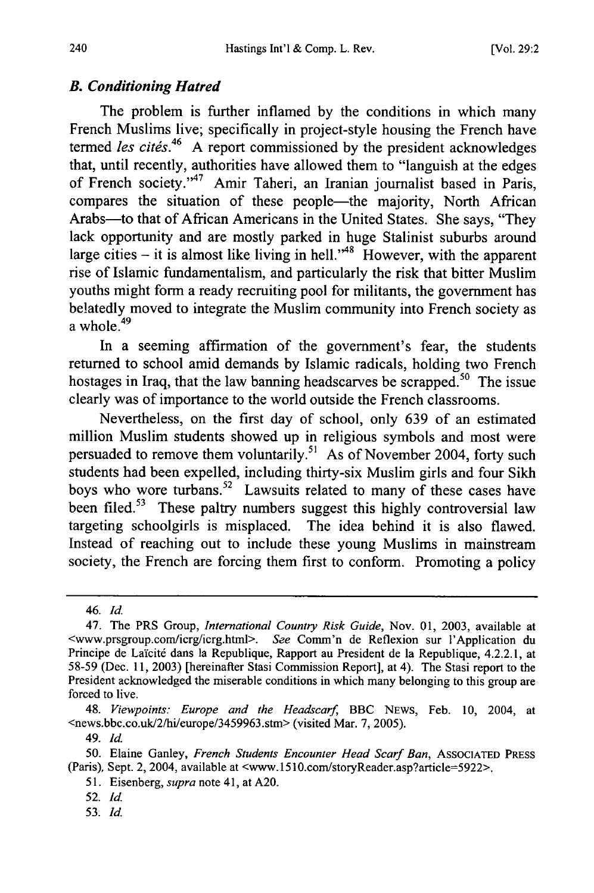# *B. Conditioning Hatred*

The problem is further inflamed by the conditions in which many French Muslims live; specifically in project-style housing the French have termed *les cités*.<sup>46</sup> A report commissioned by the president acknowledges that, until recently, authorities have allowed them to "languish at the edges of French society."<sup>47</sup> Amir Taheri, an Iranian journalist based in Paris, compares the situation of these people—the majority, North African Arabs-to that of African Americans in the United States. She says, "They lack opportunity and are mostly parked in huge Stalinist suburbs around large cities – it is almost like living in hell.<sup>348</sup> However, with the apparent rise of Islamic fundamentalism, and particularly the risk that bitter Muslim youths might form a ready recruiting pool for militants, the government has belatedly moved to integrate the Muslim community into French society as a whole. $49$ 

In a seeming affirmation of the government's fear, the students returned to school amid demands by Islamic radicals, holding two French hostages in Iraq, that the law banning headscarves be scrapped.<sup>50</sup> The issue clearly was of importance to the world outside the French classrooms.

Nevertheless, on the first day of school, only 639 of an estimated million Muslim students showed up in religious symbols and most were persuaded to remove them voluntarily.<sup>51</sup> As of November 2004, forty such students had been expelled, including thirty-six Muslim girls and four Sikh boys who wore turbans.<sup>52</sup> Lawsuits related to many of these cases have been filed.<sup>53</sup> These paltry numbers suggest this highly controversial law targeting schoolgirls is misplaced. The idea behind it is also flawed. Instead of reaching out to include these young Muslims in mainstream society, the French are forcing them first to conform. Promoting a policy

51. Eisenberg, *supra* note 41, at A20.

53. *Id.*

<sup>46.</sup> **Id.**

<sup>47.</sup> The PRS Group, *International Country Risk Guide,* Nov. 01, 2003, available at <www.prsgroup.com/icrg/icrg.html>. *See* Comm'n de Reflexion sur l'Application du Principe de Laïcité dans la Republique, Rapport au President de la Republique, 4.2.2.1, at 58-59 (Dec. 11, 2003) [hereinafter Stasi Commission Report], at 4). The Stasi report to the President acknowledged the miserable conditions in which many belonging to this group are forced to live.

<sup>48.</sup> *Viewpoints: Europe and the Headscarf* BBC NEWS, Feb. 10, 2004, at <news.bbc.co.uk/2/hi/europe/3459963.stm> (visited Mar. 7, 2005).

<sup>49.</sup> *id.*

<sup>50.</sup> Elaine Ganley, *French Students Encounter Head Scarf Ban,* ASSOCIATED PRESS (Paris), Sept. 2, 2004, available at <www. 1510.com/storyReader.asp?article=5922>.

<sup>52.</sup> **Id.**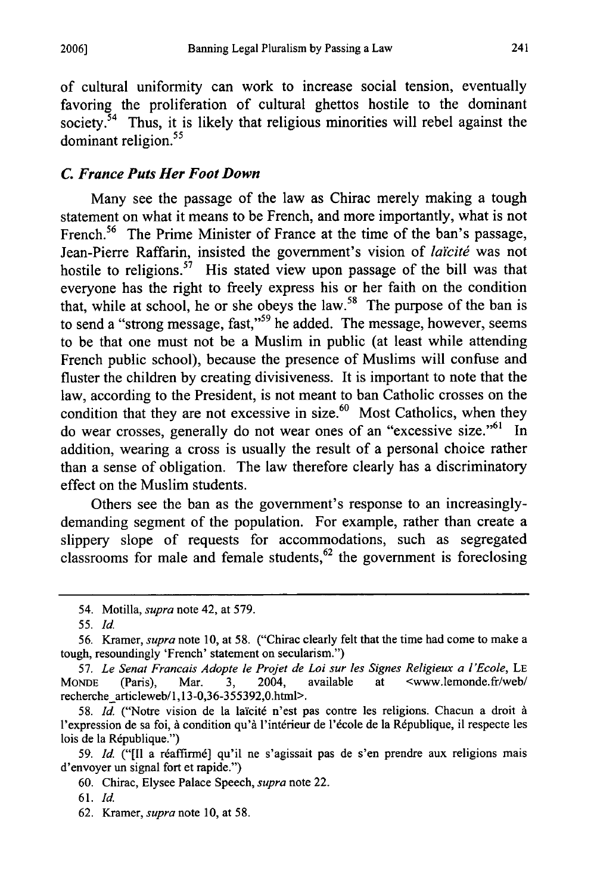of cultural uniformity can work to increase social tension, eventually favoring the proliferation of cultural ghettos hostile to the dominant society.<sup> $54$ </sup> Thus, it is likely that religious minorities will rebel against the dominant religion.<sup>55</sup>

## *C. France Puts Her Foot Down*

Many see the passage of the law as Chirac merely making a tough statement on what it means to be French, and more importantly, what is not French.<sup>56</sup> The Prime Minister of France at the time of the ban's passage, Jean-Pierre Raffarin, insisted the government's vision of *laïcité* was not hostile to religions.<sup>57</sup> His stated view upon passage of the bill was that everyone has the right to freely express his or her faith on the condition that, while at school, he or she obeys the law.<sup>58</sup> The purpose of the ban is to send a "strong message, fast,"<sup>59</sup> he added. The message, however, seems to be that one must not be a Muslim in public (at least while attending French public school), because the presence of Muslims will confuse and fluster the children by creating divisiveness. It is important to note that the law, according to the President, is not meant to ban Catholic crosses on the condition that they are not excessive in size.<sup>60</sup> Most Catholics, when they do wear crosses, generally do not wear ones of an "excessive size."<sup>61</sup> In addition, wearing a cross is usually the result of a personal choice rather than a sense of obligation. The law therefore clearly has a discriminatory effect on the Muslim students.

Others see the ban as the government's response to an increasinglydemanding segment of the population. For example, rather than create a slippery slope of requests for accommodations, such as segregated classrooms for male and female students, $62$  the government is foreclosing

<sup>54.</sup> Motilla, *supra* note 42, at 579.

<sup>55.</sup> *Id.*

<sup>56.</sup> Kramer, *supra* note 10, at 58. ("Chirac clearly felt that the time had come to make a tough, resoundingly 'French' statement on secularism.")

<sup>57.</sup> *Le Senat Francais Adopte le Projet de Loi sur les Signes Religieux a l'Ecole,* LE MONDE (Paris), Mar. 3, 2004, available at <www.lemonde.fr/web/ recherche articleweb/l,13-0,36-355392,0.html>.

<sup>58.</sup> *Id.* ("Notre vision de la la'citd n'est pas contre les religions. Chacun a droit **A** l'expression de sa foi, à condition qu'à l'intérieur de l'école de la République, il respecte les lois de la République.")

<sup>59.</sup> *Id.* ("[Il a réaffirmé] qu'il ne s'agissait pas de s'en prendre aux religions mais d'envoyer un signal fort et rapide.")

<sup>60.</sup> Chirac, Elysee Palace Speech, *supra* note 22.

<sup>61.</sup> *Id.*

<sup>62.</sup> Kramer, *supra* note 10, at 58.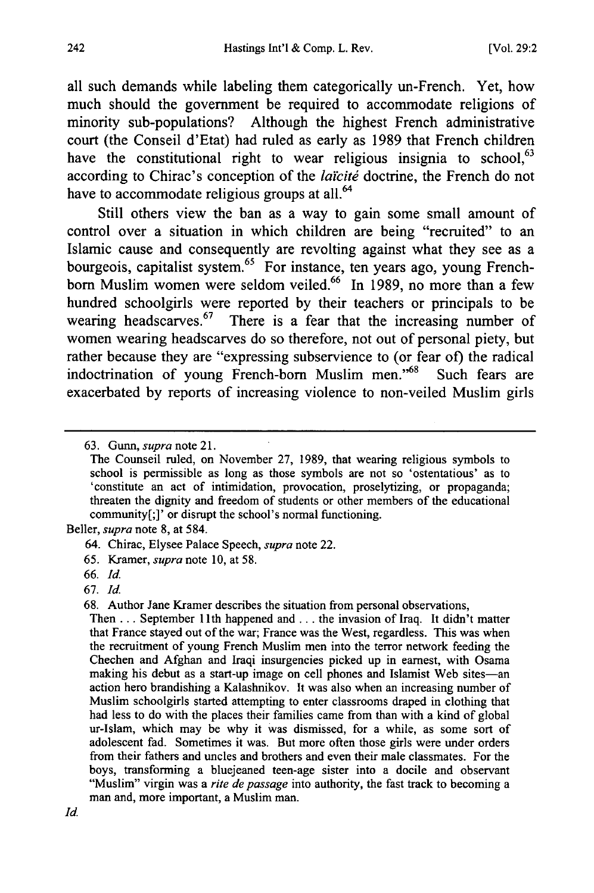all such demands while labeling them categorically un-French. Yet, how much should the government be required to accommodate religions of minority sub-populations? Although the highest French administrative court (the Conseil d'Etat) had ruled as early as **1989** that French children have the constitutional right to wear religious insignia to school,  $63$ according to Chirac's conception of the *laïcité* doctrine, the French do not have to accommodate religious groups at all.<sup>64</sup>

Still others view the ban as a way to gain some small amount of control over a situation in which children are being "recruited" to an Islamic cause and consequently are revolting against what they see as a bourgeois, capitalist system.<sup>65</sup> For instance, ten years ago, young Frenchborn Muslim women were seldom veiled.66 In **1989,** no more than a few hundred schoolgirls were reported **by** their teachers or principals to be wearing headscarves.<sup>67</sup> There is a fear that the increasing number of women wearing headscarves do so therefore, not out of personal piety, but rather because they are "expressing subservience to (or fear of) the radical indoctrination of young French-born Muslim men."<sup>68</sup> Such fears are exacerbated **by** reports of increasing violence to non-veiled Muslim girls

Beller, *supra* note **8,** at 584.

**<sup>63.</sup>** Gunn, *supra* note **21.**

The Counseil ruled, on November **27, 1989,** that wearing religious symbols to school is permissible as long as those symbols are not so 'ostentatious' as to 'constitute an act of intimidation, provocation, proselytizing, or propaganda; threaten the dignity and freedom of students or other members of the educational community[;]' or disrupt the school's normal functioning.

<sup>64.</sup> Chirac, Elysee Palace Speech, *supra* note 22.

**<sup>65.</sup>** Kramer, *supra* note **10,** at **58.**

**<sup>66.</sup> Id.**

**<sup>67.</sup> Id.**

**<sup>68.</sup>** Author Jane Kramer describes the situation from personal observations,

Then **...** September **11** th happened and **...** the invasion of Iraq. It didn't matter that France stayed out of the war; France was the West, regardless. This was when the recruitment of young French Muslim men into the terror network feeding the Chechen and Afghan and Iraqi insurgencies picked up in earnest, with Osama making his debut as a start-up image on cell phones and Islamist Web sites-an action hero brandishing a Kalashnikov. It was also when an increasing number of Muslim schoolgirls started attempting to enter classrooms draped in clothing that had less to do with the places their families came from than with a kind of global ur-Islam, which may be why it was dismissed, for a while, as some sort of adolescent fad. Sometimes it was. But more often those girls were under orders from their fathers and uncles and brothers and even their male classmates. For the boys, transforming a bluejeaned teen-age sister into a docile and observant "Muslim" virgin was a *rite de passage* into authority, the fast track to becoming a man and, more important, a Muslim man.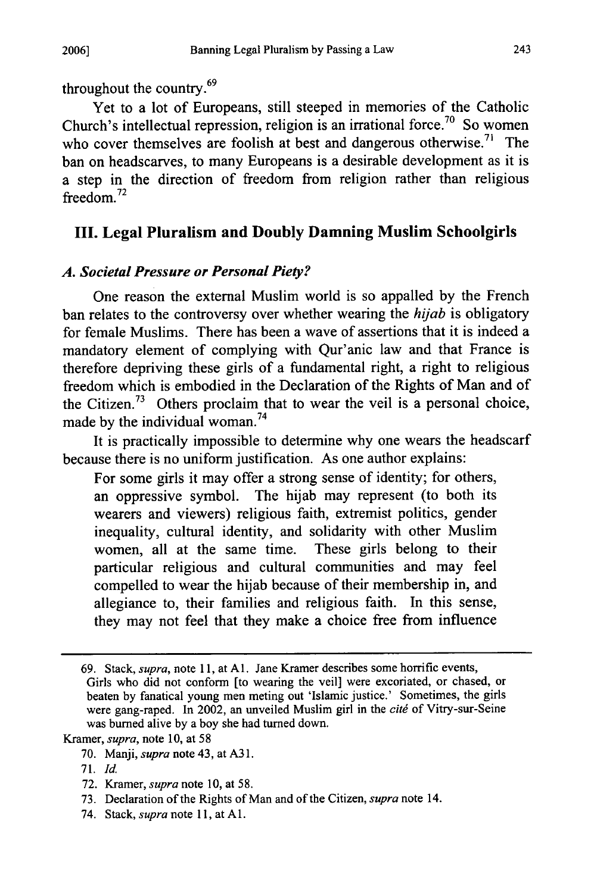throughout the country. <sup>69</sup>

Yet to a lot of Europeans, still steeped in memories of the Catholic Church's intellectual repression, religion is an irrational force.<sup>70</sup> So women who cover themselves are foolish at best and dangerous otherwise.<sup>71</sup> The ban on headscarves, to many Europeans is a desirable development as it is a step in the direction of freedom from religion rather than religious freedom.<sup>72</sup>

# **III. Legal Pluralism and Doubly Damning Muslim Schoolgirls**

#### *A. Societal Pressure or Personal Piety?*

One reason the external Muslim world is so appalled by the French ban relates to the controversy over whether wearing the *hijab* is obligatory for female Muslims. There has been a wave of assertions that it is indeed a mandatory element of complying with Qur'anic law and that France is therefore depriving these girls of a fundamental right, a right to religious freedom which is embodied in the Declaration of the Rights of Man and of the Citizen.<sup>73</sup> Others proclaim that to wear the veil is a personal choice, made by the individual woman. <sup>74</sup>

It is practically impossible to determine why one wears the headscarf because there is no uniform justification. As one author explains:

For some girls it may offer a strong sense of identity; for others, an oppressive symbol. The hijab may represent (to both its wearers and viewers) religious faith, extremist politics, gender inequality, cultural identity, and solidarity with other Muslim women, all at the same time. These girls belong to their particular religious and cultural communities and may feel compelled to wear the hijab because of their membership in, and allegiance to, their families and religious faith. In this sense, they may not feel that they make a choice free from influence

- 72. Kramer, *supra* note 10, at 58.
- 73. Declaration of the Rights of Man and of the Citizen, *supra* note 14.
- 74. Stack, *supra* note 11, at **Al.**

**2006]**

<sup>69.</sup> Stack, *supra,* note 11, at A1. Jane Kramer describes some horrific events, Girls who did not conform [to wearing the veil] were excoriated, or chased, or beaten by fanatical young men meting out 'Islamic justice.' Sometimes, the girls were gang-raped. In 2002, an unveiled Muslim girl in the *citg* of Vitry-sur-Seine was burned alive by a boy she had turned down.

Kramer, *supra,* note 10, at 58

<sup>70.</sup> Manji, *supra* note 43, at A31.

<sup>71.</sup> Id.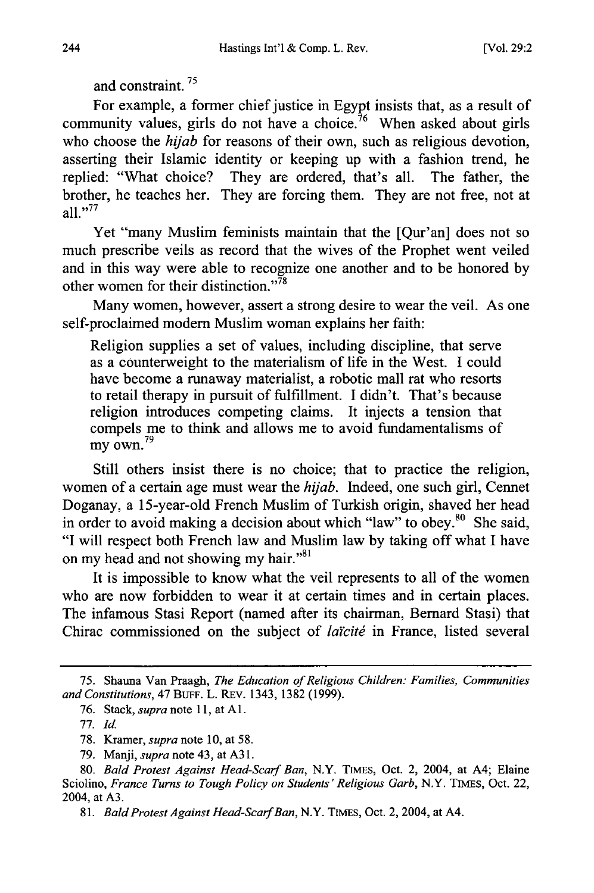and constraint.<sup>75</sup>

For example, a former chief justice in Egypt insists that, as a result of community values, girls do not have a choice.<sup> $76$ </sup> When asked about girls who choose the *hijab* for reasons of their own, such as religious devotion, asserting their Islamic identity or keeping up with a fashion trend, he replied: "What choice? They are ordered, that's all. The father, the brother, he teaches her. They are forcing them. They are not free, not at all." $^{77}$ 

Yet "many Muslim feminists maintain that the [Qur'an] does not so much prescribe veils as record that the wives of the Prophet went veiled and in this way were able to recognize one another and to be honored by other women for their distinction. $"\overline{78}$ 

Many women, however, assert a strong desire to wear the veil. As one self-proclaimed modem Muslim woman explains her faith:

Religion supplies a set of values, including discipline, that serve as a counterweight to the materialism of life in the West. I could have become a runaway materialist, a robotic mall rat who resorts to retail therapy in pursuit of fulfillment. I didn't. That's because religion introduces competing claims. It injects a tension that compels me to think and allows me to avoid fundamentalisms of  $\frac{100}{29}$  my own.<sup>79</sup>

Still others insist there is no choice; that to practice the religion, women of a certain age must wear the *hijab.* Indeed, one such girl, Cennet Doganay, a 15-year-old French Muslim of Turkish origin, shaved her head in order to avoid making a decision about which "law" to obey.<sup>80</sup> She said, "I will respect both French law and Muslim law by taking off what I have on my head and not showing my hair."<sup>81</sup>

It is impossible to know what the veil represents to all of the women who are now forbidden to wear it at certain times and in certain places. The infamous Stasi Report (named after its chairman, Bernard Stasi) that Chirac commissioned on the subject of *laïcité* in France, listed several

*81. Bald Protest Against Head-Scarf Ban,* N.Y. TIMEs, Oct. 2, 2004, at A4.

<sup>75.</sup> Shauna Van Praagh, *The Education of Religious Children: Families, Communities and Constitutions,* 47 BUFF. L. REv. 1343, 1382 (1999).

<sup>76.</sup> Stack, *supra* note 11, at **Al.**

<sup>77.</sup> *Id.*

<sup>78.</sup> Kramer, *supra* note 10, at 58.

<sup>79.</sup> Manji, *supra* note 43, at A31.

<sup>80.</sup> *Bald Protest Against Head-Scarf Ban,* N.Y. TIMEs, Oct. 2, 2004, at A4; Elaine Sciolino, *France Turns to Tough Policy on Students' Religious Garb,* N.Y. TIMEs, Oct. 22, 2004, at A3.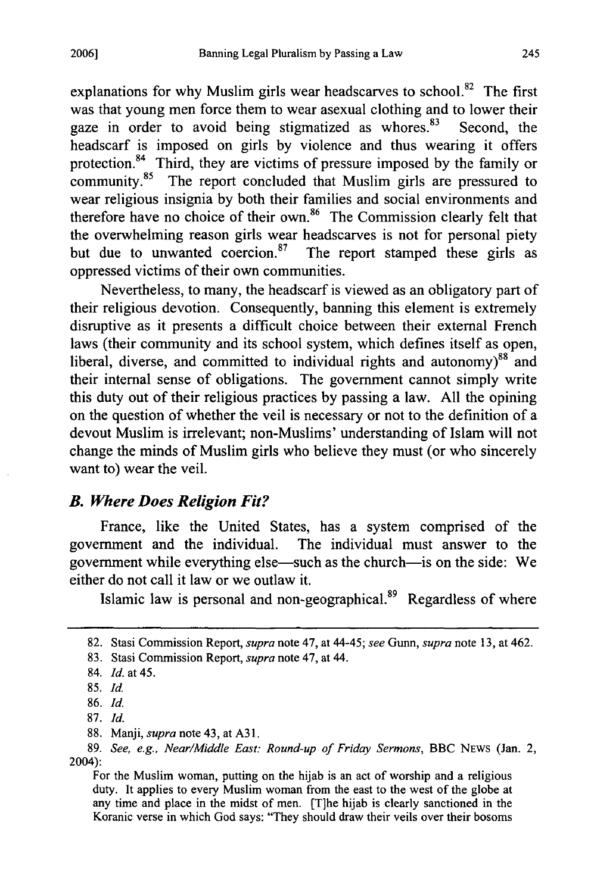explanations for why Muslim girls wear headscarves to school. $82$  The first was that young men force them to wear asexual clothing and to lower their gaze in order to avoid being stigmatized as whores. $8^3$  Second, the headscarf is imposed on girls by violence and thus wearing it offers protection.<sup>84</sup> Third, they are victims of pressure imposed by the family or community.<sup>85</sup> The report concluded that Muslim girls are pressured to wear religious insignia by both their families and social environments and therefore have no choice of their own.<sup>86</sup> The Commission clearly felt that the overwhelming reason girls wear headscarves is not for personal piety but due to unwanted coercion. $87$  The report stamped these girls as oppressed victims of their own communities.

Nevertheless, to many, the headscarf is viewed as an obligatory part of their religious devotion. Consequently, banning this element is extremely disruptive as it presents a difficult choice between their external French laws (their community and its school system, which defines itself as open, liberal, diverse, and committed to individual rights and autonomy) $88$  and their internal sense of obligations. The government cannot simply write this duty out of their religious practices by passing a law. All the opining on the question of whether the veil is necessary or not to the definition of a devout Muslim is irrelevant; non-Muslims' understanding of Islam will not change the minds of Muslim girls who believe they must (or who sincerely want to) wear the veil.

## *B. Where Does Religion Fit?*

France, like the United States, has a system comprised of the government and the individual. The individual must answer to the government while everything else-such as the church-is on the side: We either do not call it law or we outlaw it.

Islamic law is personal and non-geographical.<sup>89</sup> Regardless of where

<sup>82.</sup> Stasi Commission Report, *supra* note 47, at 44-45; *see* Gunn, *supra* note 13, at 462.

<sup>83.</sup> Stasi Commission Report, *supra* note 47, at 44.

<sup>84.</sup> *Id.* at 45.

**<sup>85.</sup>** Id.

<sup>86.</sup> *Id.*

<sup>87.</sup> *Id.*

<sup>88.</sup> Manji, *supra* note 43, at A31.

<sup>89.</sup> *See, e.g., Near/Middle East: Round-up of Friday Sermons,* BBC NEWS (Jan. 2, 2004):

For the Muslim woman, putting on the hijab is an act of worship and a religious duty. It applies to every Muslim woman from the east to the west of the globe at any time and place in the midst of men. (T]he hijab is clearly sanctioned in the Koranic verse in which God says: "They should draw their veils over their bosoms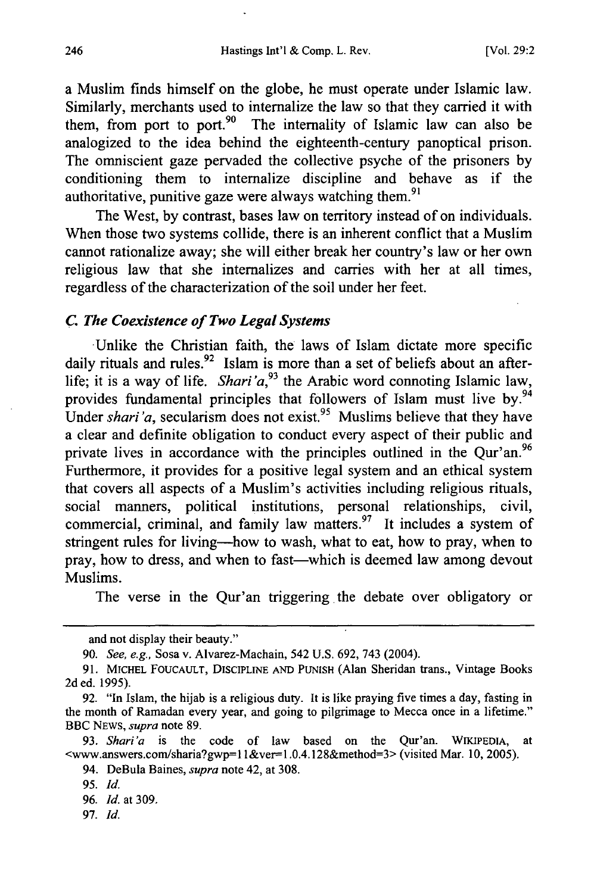a Muslim finds himself on the globe, he must operate under Islamic law. Similarly, merchants used to internalize the law so that they carried it with them, from port to port.<sup>90</sup> The internality of Islamic law can also be analogized to the idea behind the eighteenth-century panoptical prison. The omniscient gaze pervaded the collective psyche of the prisoners by conditioning them to internalize discipline and behave as if the authoritative, punitive gaze were always watching them.<sup>9</sup>

The West, by contrast, bases law on territory instead of on individuals. When those two systems collide, there is an inherent conflict that a Muslim cannot rationalize away; she will either break her country's law or her own religious law that she internalizes and carries with her at all times, regardless of the characterization of the soil under her feet.

#### *C. The Coexistence of Two Legal Systems*

Unlike the Christian faith, the laws of Islam dictate more specific daily rituals and rules.<sup>92</sup> Islam is more than a set of beliefs about an afterlife; it is a way of life. *Shari'a*,<sup>93</sup> the Arabic word connoting Islamic law, provides fundamental principles that followers of Islam must live by.<sup>94</sup> Under *shari'a*, secularism does not exist.<sup>95</sup> Muslims believe that they have a clear and definite obligation to conduct every aspect of their public and private lives in accordance with the principles outlined in the Qur'an.<sup>96</sup> Furthermore, it provides for a positive legal system and an ethical system that covers all aspects of a Muslim's activities including religious rituals, social manners, political institutions, personal relationships, civil, commercial, criminal, and family law matters. $97$  It includes a system of stringent rules for living-how to wash, what to eat, how to pray, when to pray, how to dress, and when to fast—which is deemed law among devout Muslims.

The verse in the Qur'an triggering the debate over obligatory or

97. *Id.*

and not display their beauty."

**<sup>90.</sup>** *See, e.g.,* Sosa v. Alvarez-Machain, *542* **U.S. 692,** 743 (2004).

**<sup>91.</sup>** MICHEL FOUCAULT, DISCIPLINE AND PUNISH (Alan Sheridan trans., Vintage Books 2d ed. 1995).

<sup>92. &</sup>quot;In Islam, the hijab is a religious duty. It is like praying five times a day, fasting in the month of Ramadan every year, and going to pilgrimage to Mecca once in a lifetime." BBC NEWS, *supra* note 89.

<sup>93.</sup> *Shari'a* is the code of law based on the Qur'an. WIKIPEDIA, at <www.answers.com/sharia?gwp=l 1&ver-1 .0.4.128&method=3> (visited Mar. 10, 2005).

<sup>94.</sup> DeBula Baines, *supra* note 42, at 308.

*<sup>95.</sup> Id.*

<sup>96.</sup> *Id.* at 309.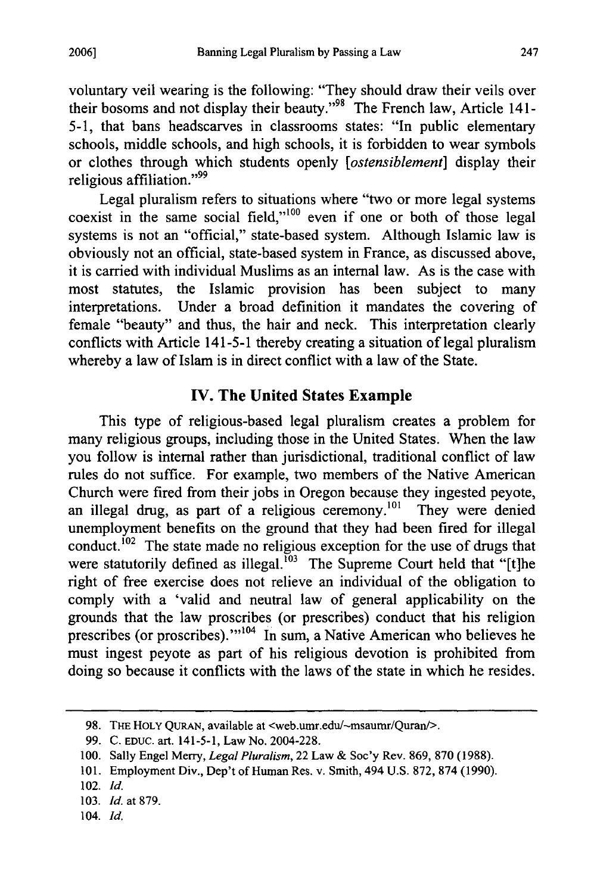voluntary veil wearing is the following: "They should draw their veils over their bosoms and not display their beauty."<sup>98</sup> The French law, Article 141-5-1, that bans headscarves in classrooms states: "In public elementary schools, middle schools, and high schools, it is forbidden to wear symbols or clothes through which students openly *[ostensiblement]* display their religious affiliation."<sup>99</sup>

Legal pluralism refers to situations where "two or more legal systems coexist in the same social field," $100$  even if one or both of those legal systems is not an "official," state-based system. Although Islamic law is obviously not an official, state-based system in France, as discussed above, it is carried with individual Muslims as an internal law. As is the case with most statutes, the Islamic provision has been subject to many interpretations. Under a broad definition it mandates the covering of female "beauty" and thus, the hair and neck. This interpretation clearly conflicts with Article 141-5-1 thereby creating a situation of legal pluralism whereby a law of Islam is in direct conflict with a law of the State.

# **IV. The United States Example**

This type of religious-based legal pluralism creates a problem for many religious groups, including those in the United States. When the law you follow is internal rather than jurisdictional, traditional conflict of law rules do not suffice. For example, two members of the Native American Church were fired from their jobs in Oregon because they ingested peyote, an illegal drug, as part of a religious ceremony.<sup>101</sup> They were denied unemployment benefits on the ground that they had been fired for illegal conduct.<sup>102</sup> The state made no religious exception for the use of drugs that were statutorily defined as illegal.<sup>103</sup> The Supreme Court held that "[t]he right of free exercise does not relieve an individual of the obligation to comply with a 'valid and neutral law of general applicability on the grounds that the law proscribes (or prescribes) conduct that his religion prescribes (or proscribes)."<sup>104</sup> In sum, a Native American who believes he must ingest peyote as part of his religious devotion is prohibited from doing so because it conflicts with the laws of the state in which he resides.

<sup>98.</sup> **TiE** HOLY QuRAN, available at <web.umr.edu/-msaumr/Quran/>.

<sup>99.</sup> C. EDUC. art. 141-5-1, Law No. 2004-228.

<sup>100.</sup> Sally Engel Merry, *Legal Pluralism,* 22 Law & Soc'y Rev. 869, 870 (1988).

<sup>101.</sup> Employment Div., Dep't of Human Res. v. Smith, 494 U.S. 872, 874 (1990).

<sup>102.</sup> *Id.*

<sup>103.</sup> *Id.* at 879.

<sup>104.</sup> *Id.*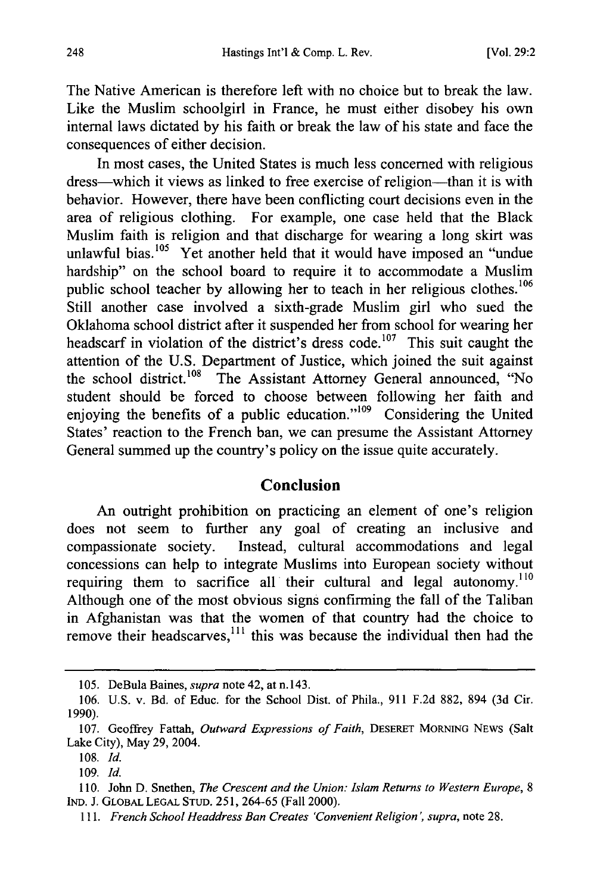The Native American is therefore left with no choice but to break the law. Like the Muslim schoolgirl in France, he must either disobey his own internal laws dictated by his faith or break the law of his state and face the consequences of either decision.

In most cases, the United States is much less concerned with religious dress—which it views as linked to free exercise of religion—than it is with behavior. However, there have been conflicting court decisions even in the area of religious clothing. For example, one case held that the Black Muslim faith is religion and that discharge for wearing a long skirt was unlawful bias.<sup>105</sup> Yet another held that it would have imposed an "undue hardship" on the school board to require it to accommodate a Muslim public school teacher by allowing her to teach in her religious clothes.<sup>106</sup> Still another case involved a sixth-grade Muslim girl who sued the Oklahoma school district after it suspended her from school for wearing her headscarf in violation of the district's dress code.<sup>107</sup> This suit caught the attention of the U.S. Department of Justice, which joined the suit against the school district.<sup>108</sup> The Assistant Attorney General announced, "No student should be forced to choose between following her faith and enjoying the benefits of a public education." $109$  Considering the United States' reaction to the French ban, we can presume the Assistant Attorney General summed up the country's policy on the issue quite accurately.

# **Conclusion**

An outright prohibition on practicing an element of one's religion does not seem to further any goal of creating an inclusive and compassionate society. Instead, cultural accommodations and legal concessions can help to integrate Muslims into European society without requiring them to sacrifice all their cultural and legal autonomy.<sup>110</sup> Although one of the most obvious signs confirming the fall of the Taliban in Afghanistan was that the women of that country had the choice to remove their headscarves, $^{111}$  this was because the individual then had the

<sup>105.</sup> DeBula Baines, *supra* note 42, at n.143.

<sup>106.</sup> U.S. v. Bd. of Educ. for the School Dist. of Phila., 911 F.2d 882, 894 (3d Cir. 1990).

<sup>107.</sup> Geoffrey Fattah, *Outward Expressions of Faith,* DESERET MORNING NEWS (Salt Lake City), May 29, 2004.

<sup>108.</sup> *Id.*

<sup>109.</sup> *Id.*

<sup>110.</sup> John D. Snethen, *The Crescent and the Union: Islam Returns to Western Europe, 8* IND. J. GLOBAL LEGAL STUD. 251, 264-65 (Fall 2000).

<sup>111.</sup> French School Headdress Ban Creates 'Convenient Religion', supra, note 28.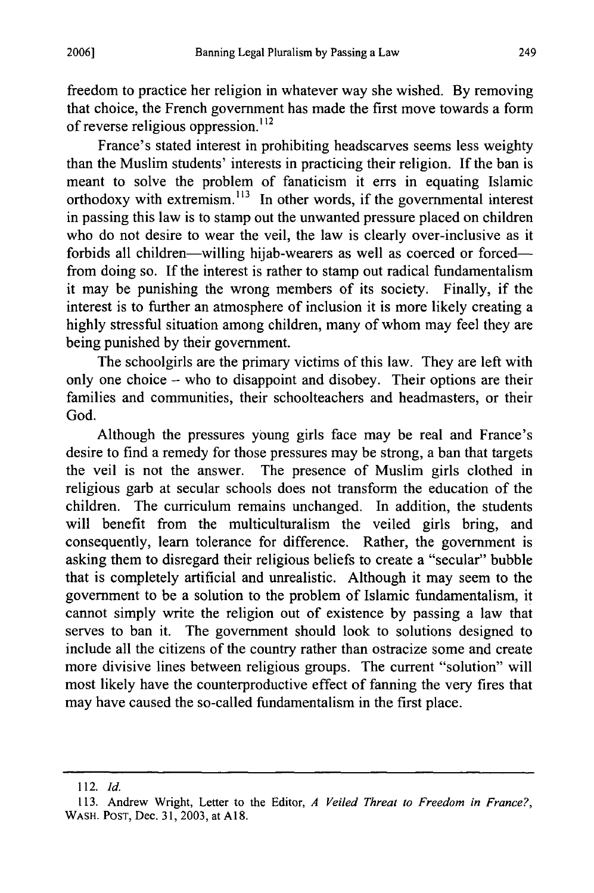freedom to practice her religion in whatever way she wished. By removing that choice, the French government has made the first move towards a form of reverse religious oppression.<sup>112</sup>

France's stated interest in prohibiting headscarves seems less weighty than the Muslim students' interests in practicing their religion. If the ban is meant to solve the problem of fanaticism it errs in equating Islamic orthodoxy with extremism.<sup>113</sup> In other words, if the governmental interest in passing this law is to stamp out the unwanted pressure placed on children who do not desire to wear the veil, the law is clearly over-inclusive as it forbids all children-willing hijab-wearers as well as coerced or forcedfrom doing so. If the interest is rather to stamp out radical fundamentalism it may be punishing the wrong members of its society. Finally, if the interest is to further an atmosphere of inclusion it is more likely creating a highly stressful situation among children, many of whom may feel they are being punished by their government.

The schoolgirls are the primary victims of this law. They are left with only one choice **-** who to disappoint and disobey. Their options are their families and communities, their schoolteachers and headmasters, or their God.

Although the pressures young girls face may be real and France's desire to find a remedy for those pressures may be strong, a ban that targets the veil is not the answer. The presence of Muslim girls clothed in religious garb at secular schools does not transform the education of the children. The curriculum remains unchanged. In addition, the students will benefit from the multiculturalism the veiled girls bring, and consequently, learn tolerance for difference. Rather, the government is asking them to disregard their religious beliefs to create a "secular" bubble that is completely artificial and unrealistic. Although it may seem to the government to be a solution to the problem of Islamic fundamentalism, it cannot simply write the religion out of existence by passing a law that serves to ban it. The government should look to solutions designed to include all the citizens of the country rather than ostracize some and create more divisive lines between religious groups. The current "solution" will most likely have the counterproductive effect of fanning the very fires that may have caused the so-called fundamentalism in the first place.

249

<sup>112.</sup> *Id.*

<sup>113.</sup> Andrew Wright, Letter to the Editor, *A Veiled Threat to Freedom in France?,* WASH. **POST,** Dec. 31, 2003, at **A18.**